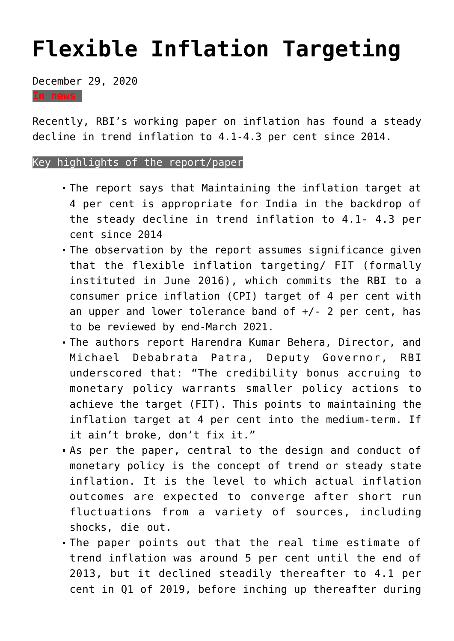## **[Flexible Inflation Targeting](https://journalsofindia.com/flexible-inflation-targeting/)**

December 29, 2020

**In news**

Recently, RBI's working paper on inflation has found a steady decline in trend inflation to 4.1-4.3 per cent since 2014.

## Key highlights of the report/paper

- The report says that Maintaining the inflation target at 4 per cent is appropriate for India in the backdrop of the steady decline in trend inflation to 4.1- 4.3 per cent since 2014
- The observation by the report assumes significance given that the flexible inflation targeting/ FIT (formally instituted in June 2016), which commits the RBI to a consumer price inflation (CPI) target of 4 per cent with an upper and lower tolerance band of  $+/$ - 2 per cent, has to be reviewed by end-March 2021.
- The authors report Harendra Kumar Behera, Director, and Michael Debabrata Patra, Deputy Governor, RBI underscored that: "The credibility bonus accruing to monetary policy warrants smaller policy actions to achieve the target (FIT). This points to maintaining the inflation target at 4 per cent into the medium-term. If it ain't broke, don't fix it."
- As per the paper, central to the design and conduct of monetary policy is the concept of trend or steady state inflation. It is the level to which actual inflation outcomes are expected to converge after short run fluctuations from a variety of sources, including shocks, die out.
- The paper points out that the real time estimate of trend inflation was around 5 per cent until the end of 2013, but it declined steadily thereafter to 4.1 per cent in Q1 of 2019, before inching up thereafter during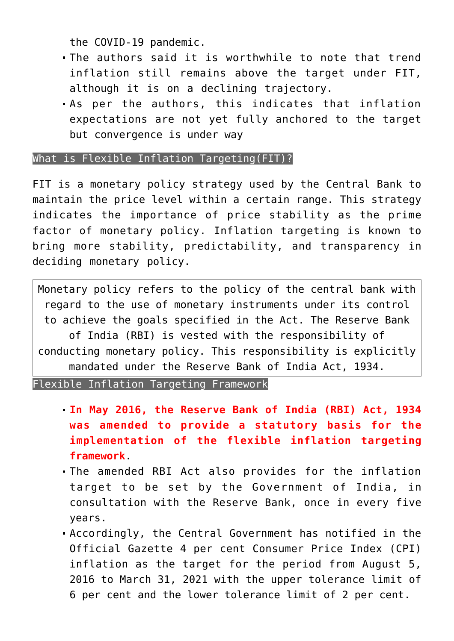the COVID-19 pandemic.

- The authors said it is worthwhile to note that trend inflation still remains above the target under FIT, although it is on a declining trajectory.
- As per the authors, this indicates that inflation expectations are not yet fully anchored to the target but convergence is under way

What is Flexible Inflation Targeting(FIT)?

FIT is a monetary policy strategy used by the Central Bank to maintain the price level within a certain range. This strategy indicates the importance of price stability as the prime factor of monetary policy. Inflation targeting is known to bring more stability, predictability, and transparency in deciding monetary policy.

Monetary policy refers to the policy of the central bank with regard to the use of monetary instruments under its control to achieve the goals specified in the Act. The Reserve Bank of India (RBI) is vested with the responsibility of conducting monetary policy. This responsibility is explicitly mandated under the Reserve Bank of India Act, 1934.

Flexible Inflation Targeting Framework

- **In May 2016, the Reserve Bank of India (RBI) Act, 1934 was amended to provide a statutory basis for the implementation of the flexible inflation targeting framework**.
- The amended RBI Act also provides for the inflation target to be set by the Government of India, in consultation with the Reserve Bank, once in every five years.
- Accordingly, the Central Government has notified in the Official Gazette 4 per cent Consumer Price Index (CPI) inflation as the target for the period from August 5, 2016 to March 31, 2021 with the upper tolerance limit of 6 per cent and the lower tolerance limit of 2 per cent.